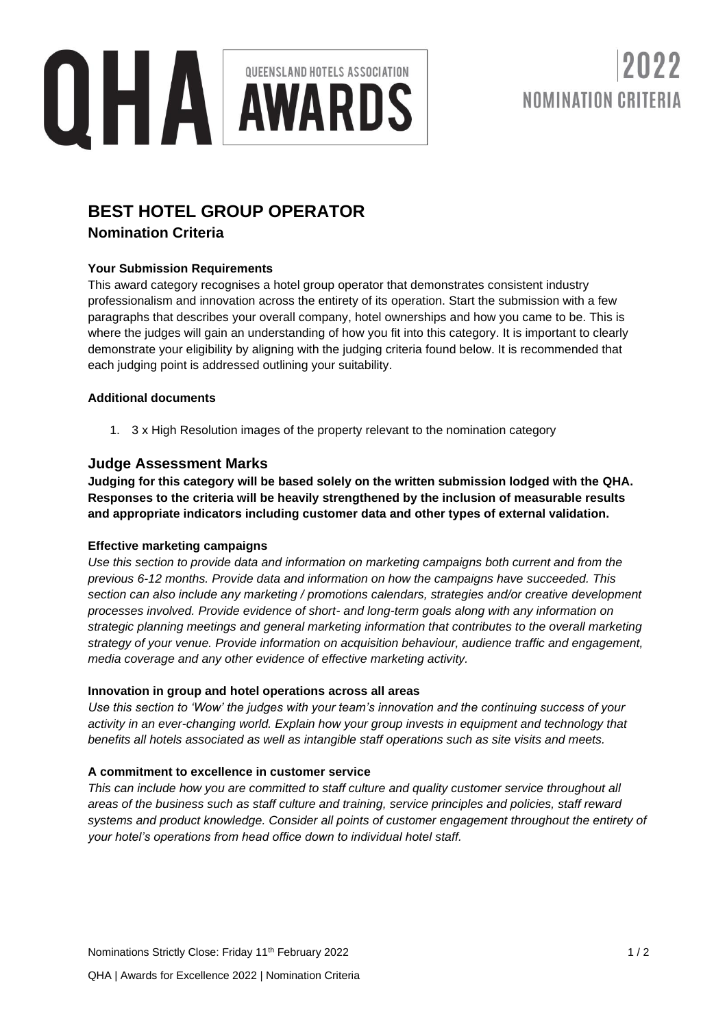

# NOMINATION CRITERIA

### **BEST HOTEL GROUP OPERATOR**

#### **Nomination Criteria**

#### **Your Submission Requirements**

This award category recognises a hotel group operator that demonstrates consistent industry professionalism and innovation across the entirety of its operation. Start the submission with a few paragraphs that describes your overall company, hotel ownerships and how you came to be. This is where the judges will gain an understanding of how you fit into this category. It is important to clearly demonstrate your eligibility by aligning with the judging criteria found below. It is recommended that each judging point is addressed outlining your suitability.

#### **Additional documents**

1. 3 x High Resolution images of the property relevant to the nomination category

#### **Judge Assessment Marks**

**Judging for this category will be based solely on the written submission lodged with the QHA. Responses to the criteria will be heavily strengthened by the inclusion of measurable results and appropriate indicators including customer data and other types of external validation.**

#### **Effective marketing campaigns**

*Use this section to provide data and information on marketing campaigns both current and from the previous 6-12 months. Provide data and information on how the campaigns have succeeded. This section can also include any marketing / promotions calendars, strategies and/or creative development processes involved. Provide evidence of short- and long-term goals along with any information on strategic planning meetings and general marketing information that contributes to the overall marketing strategy of your venue. Provide information on acquisition behaviour, audience traffic and engagement, media coverage and any other evidence of effective marketing activity.*

#### **Innovation in group and hotel operations across all areas**

*Use this section to 'Wow' the judges with your team's innovation and the continuing success of your activity in an ever-changing world. Explain how your group invests in equipment and technology that benefits all hotels associated as well as intangible staff operations such as site visits and meets.*

#### **A commitment to excellence in customer service**

*This can include how you are committed to staff culture and quality customer service throughout all areas of the business such as staff culture and training, service principles and policies, staff reward systems and product knowledge. Consider all points of customer engagement throughout the entirety of your hotel's operations from head office down to individual hotel staff.*